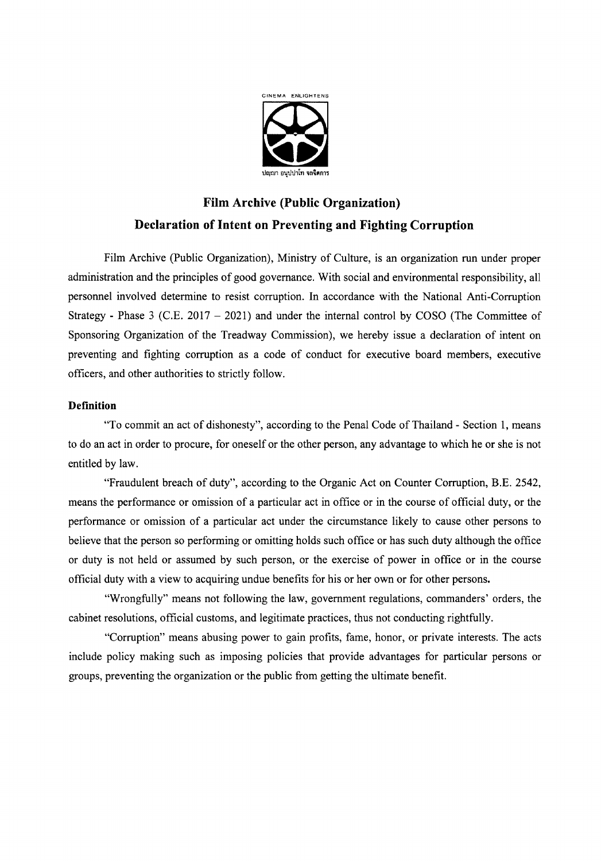

## **Film Archive (Public Organization) Declaration of Intent on Preventing and Fighting Corruption**

Film Archive (Public Organization), Ministry of Culture, is an organization run under proper administration and the principles of good governance. With social and environmental responsibility, all personnel involved determine to resist corruption. In accordance with the National Anti-Corruption Strategy - Phase 3 (C.E. 2017 - 2021) and under the internal control by COSO (The Committee of Sponsoring Organization of the Treadway Commission), we hereby issue a declaration of intent on preventing and fighting corruption as a code of conduct for executive board members, executive officers, and other authorities to strictly follow.

## **Definition**

"To commit an act of dishonesty", according to the Penal Code of Thailand - Section 1, means to do an act in order to procure, for oneself or the other person, any advantage to which he or she is not entitled by law.

"Fraudulent breach of duty", according to the Organic Act on Counter Corruption, B.E. 2542, means the performance or omission of a particular act in office or in the course of official duty, or the performance or omission of a particular act under the circumstance likely to cause other persons to believe that the person so performing or omitting holds such office or has such duty although the office or duty is not held or assumed by such person, or the exercise of power in office or in the course official duty with a view to acquiring undue benefits for his or her own or for other persons.

"Wrongfully" means not following the law, government regulations, commanders' orders, the cabinet resolutions, official customs, and legitimate practices, thus not conducting rightfully.

"Corruption" means abusing power to gain profits, fame, honor, or private interests. The acts include policy making such as imposing policies that provide advantages for particular persons or groups, preventing the organization or the public from getting the ultimate benefit.